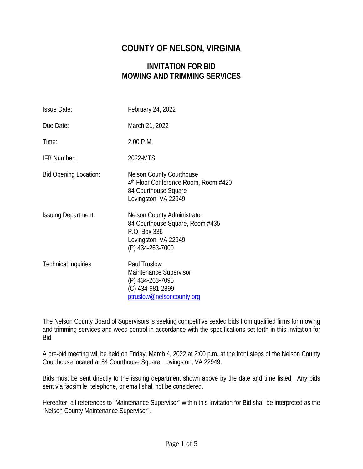# **COUNTY OF NELSON, VIRGINIA**

# **INVITATION FOR BID MOWING AND TRIMMING SERVICES**

| <b>Issue Date:</b>           | February 24, 2022                                                                                                                   |
|------------------------------|-------------------------------------------------------------------------------------------------------------------------------------|
| Due Date:                    | March 21, 2022                                                                                                                      |
| Time:                        | 2:00 P.M.                                                                                                                           |
| IFB Number:                  | 2022-MTS                                                                                                                            |
| <b>Bid Opening Location:</b> | <b>Nelson County Courthouse</b><br>4 <sup>th</sup> Floor Conference Room, Room #420<br>84 Courthouse Square<br>Lovingston, VA 22949 |
| <b>Issuing Department:</b>   | <b>Nelson County Administrator</b><br>84 Courthouse Square, Room #435<br>P.O. Box 336<br>Lovingston, VA 22949<br>(P) 434-263-7000   |
| Technical Inquiries:         | <b>Paul Truslow</b><br>Maintenance Supervisor<br>(P) 434-263-7095<br>(C) 434-981-2899<br>ptruslow@nelsoncounty.org                  |

The Nelson County Board of Supervisors is seeking competitive sealed bids from qualified firms for mowing and trimming services and weed control in accordance with the specifications set forth in this Invitation for Bid.

A pre-bid meeting will be held on Friday, March 4, 2022 at 2:00 p.m. at the front steps of the Nelson County Courthouse located at 84 Courthouse Square, Lovingston, VA 22949.

Bids must be sent directly to the issuing department shown above by the date and time listed. Any bids sent via facsimile, telephone, or email shall not be considered.

Hereafter, all references to "Maintenance Supervisor" within this Invitation for Bid shall be interpreted as the "Nelson County Maintenance Supervisor".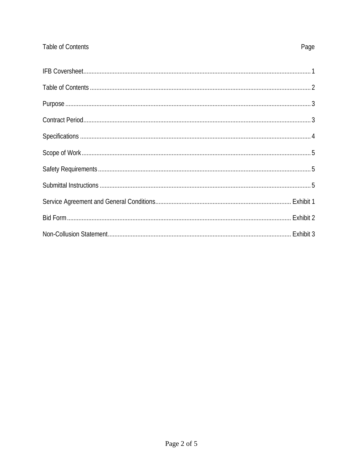## Table of Contents

# Page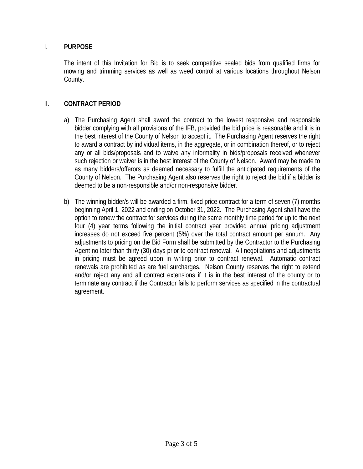## I. **PURPOSE**

The intent of this Invitation for Bid is to seek competitive sealed bids from qualified firms for mowing and trimming services as well as weed control at various locations throughout Nelson County.

#### II. **CONTRACT PERIOD**

- a) The Purchasing Agent shall award the contract to the lowest responsive and responsible bidder complying with all provisions of the IFB, provided the bid price is reasonable and it is in the best interest of the County of Nelson to accept it. The Purchasing Agent reserves the right to award a contract by individual items, in the aggregate, or in combination thereof, or to reject any or all bids/proposals and to waive any informality in bids/proposals received whenever such rejection or waiver is in the best interest of the County of Nelson. Award may be made to as many bidders/offerors as deemed necessary to fulfill the anticipated requirements of the County of Nelson. The Purchasing Agent also reserves the right to reject the bid if a bidder is deemed to be a non-responsible and/or non-responsive bidder.
- b) The winning bidder/s will be awarded a firm, fixed price contract for a term of seven (7) months beginning April 1, 2022 and ending on October 31, 2022. The Purchasing Agent shall have the option to renew the contract for services during the same monthly time period for up to the next four (4) year terms following the initial contract year provided annual pricing adjustment increases do not exceed five percent (5%) over the total contract amount per annum. Any adjustments to pricing on the Bid Form shall be submitted by the Contractor to the Purchasing Agent no later than thirty (30) days prior to contract renewal. All negotiations and adjustments in pricing must be agreed upon in writing prior to contract renewal. Automatic contract renewals are prohibited as are fuel surcharges. Nelson County reserves the right to extend and/or reject any and all contract extensions if it is in the best interest of the county or to terminate any contract if the Contractor fails to perform services as specified in the contractual agreement.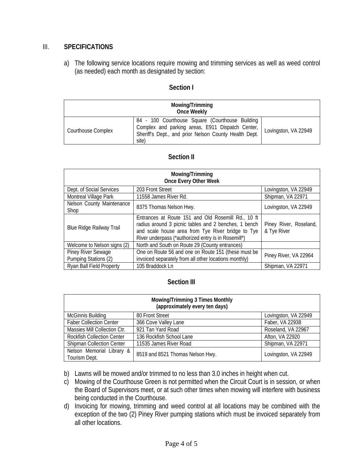## III. **SPECIFICATIONS**

a) The following service locations require mowing and trimming services as well as weed control (as needed) each month as designated by section:

#### **Section I**

| Mowing/Trimming<br>Once Weekly |                                                                                                                                                                       |                      |
|--------------------------------|-----------------------------------------------------------------------------------------------------------------------------------------------------------------------|----------------------|
| Courthouse Complex             | 84 - 100 Courthouse Square (Courthouse Building<br>Complex and parking areas, E911 Dispatch Center,<br>Sheriff's Dept., and prior Nelson County Health Dept.<br>site) | Lovingston, VA 22949 |

#### **Section II**

| Mowing/Trimming<br><b>Once Every Other Week</b> |                                                                                                                                                                                                                        |                                       |
|-------------------------------------------------|------------------------------------------------------------------------------------------------------------------------------------------------------------------------------------------------------------------------|---------------------------------------|
| Dept. of Social Services                        | 203 Front Street                                                                                                                                                                                                       | Lovingston, VA 22949                  |
| <b>Montreal Village Park</b>                    | 11558 James River Rd.                                                                                                                                                                                                  | Shipman, VA 22971                     |
| Nelson County Maintenance<br>Shop               | 8375 Thomas Nelson Hwy.                                                                                                                                                                                                | Lovingston, VA 22949                  |
| <b>Blue Ridge Railway Trail</b>                 | Entrances at Route 151 and Old Rosemill Rd., 10 ft<br>radius around 3 picnic tables and 2 benches, 1 bench<br>and scale house area from Tye River bridge to Tye<br>River underpass (*authorized entry is in Rosemill*) | Piney River, Roseland,<br>& Tye River |
| Welcome to Nelson signs (2)                     | North and South on Route 29 (County entrances)                                                                                                                                                                         |                                       |
| Piney River Sewage<br>Pumping Stations (2)      | One on Route 56 and one on Route 151 (these must be<br>invoiced separately from all other locations monthly)                                                                                                           | Piney River, VA 22964                 |
| <b>Ryan Ball Field Property</b>                 | 105 Braddock Ln                                                                                                                                                                                                        | Shipman, VA 22971                     |

#### **Section III**

| <b>Mowing/Trimming 3 Times Monthly</b><br>(approximately every ten days) |                                  |                      |
|--------------------------------------------------------------------------|----------------------------------|----------------------|
| McGinnis Building                                                        | 80 Front Street                  | Lovingston, VA 22949 |
| <b>Faber Collection Center</b>                                           | 366 Cove Valley Lane             | Faber, VA 22938      |
| Massies Mill Collection Ctr.                                             | 921 Tan Yard Road                | Roseland, VA 22967   |
| <b>Rockfish Collection Center</b>                                        | 136 Rockfish School Lane         | Afton, VA 22920      |
| <b>Shipman Collection Center</b>                                         | 11535 James River Road           | Shipman, VA 22971    |
| Nelson Memorial Library &<br>Tourism Dept.                               | 8519 and 8521 Thomas Nelson Hwy. | Lovingston, VA 22949 |

- b) Lawns will be mowed and/or trimmed to no less than 3.0 inches in height when cut.
- c) Mowing of the Courthouse Green is not permitted when the Circuit Court is in session, or when the Board of Supervisors meet, or at such other times when mowing will interfere with business being conducted in the Courthouse.
- d) Invoicing for mowing, trimming and weed control at all locations may be combined with the exception of the two (2) Piney River pumping stations which must be invoiced separately from all other locations.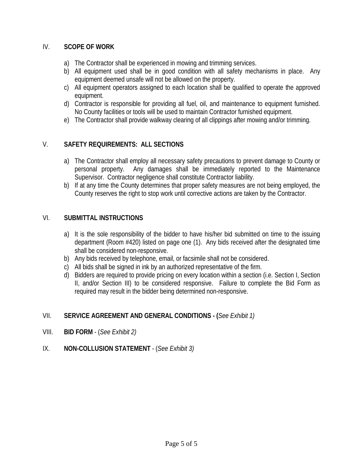## IV. **SCOPE OF WORK**

- a) The Contractor shall be experienced in mowing and trimming services.
- b) All equipment used shall be in good condition with all safety mechanisms in place. Any equipment deemed unsafe will not be allowed on the property.
- c) All equipment operators assigned to each location shall be qualified to operate the approved equipment.
- d) Contractor is responsible for providing all fuel, oil, and maintenance to equipment furnished. No County facilities or tools will be used to maintain Contractor furnished equipment.
- e) The Contractor shall provide walkway clearing of all clippings after mowing and/or trimming.

## V. **SAFETY REQUIREMENTS: ALL SECTIONS**

- a) The Contractor shall employ all necessary safety precautions to prevent damage to County or personal property. Any damages shall be immediately reported to the Maintenance Supervisor. Contractor negligence shall constitute Contractor liability.
- b) If at any time the County determines that proper safety measures are not being employed, the County reserves the right to stop work until corrective actions are taken by the Contractor.

#### VI. **SUBMITTAL INSTRUCTIONS**

- a) It is the sole responsibility of the bidder to have his/her bid submitted on time to the issuing department (Room #420) listed on page one (1). Any bids received after the designated time shall be considered non-responsive.
- b) Any bids received by telephone, email, or facsimile shall not be considered.
- c) All bids shall be signed in ink by an authorized representative of the firm.
- d) Bidders are required to provide pricing on every location within a section (i.e. Section I, Section II, and/or Section III) to be considered responsive. Failure to complete the Bid Form as required may result in the bidder being determined non-responsive.

#### VII. **SERVICE AGREEMENT AND GENERAL CONDITIONS - (***See Exhibit 1)*

- VIII. **BID FORM** (*See Exhibit 2)*
- IX. **NON-COLLUSION STATEMENT** (*See Exhibit 3)*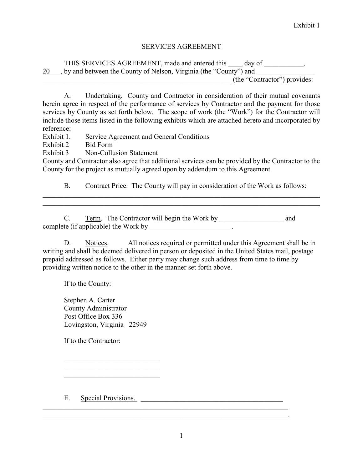#### SERVICES AGREEMENT

THIS SERVICES AGREEMENT, made and entered this \_\_\_\_\_ day of \_\_\_\_\_\_\_\_\_\_, 20 , by and between the County of Nelson, Virginia (the "County") and \_\_\_\_\_\_\_\_\_\_\_\_\_\_\_\_\_\_\_\_\_\_\_\_\_\_\_\_\_\_\_\_\_\_\_\_\_\_\_\_\_\_\_\_\_\_\_\_\_\_\_\_\_ (the "Contractor") provides:

A. Undertaking. County and Contractor in consideration of their mutual covenants herein agree in respect of the performance of services by Contractor and the payment for those services by County as set forth below. The scope of work (the "Work") for the Contractor will include those items listed in the following exhibits which are attached hereto and incorporated by reference:

Exhibit 1. Service Agreement and General Conditions

Exhibit 2 Bid Form

Exhibit 3 Non-Collusion Statement

County and Contractor also agree that additional services can be provided by the Contractor to the County for the project as mutually agreed upon by addendum to this Agreement.

B. Contract Price. The County will pay in consideration of the Work as follows:

\_\_\_\_\_\_\_\_\_\_\_\_\_\_\_\_\_\_\_\_\_\_\_\_\_\_\_\_\_\_\_\_\_\_\_\_\_\_\_\_\_\_\_\_\_\_\_\_\_\_\_\_\_\_\_\_\_\_\_\_\_\_\_\_\_\_\_\_\_\_\_\_\_\_\_\_\_\_

C. Term. The Contractor will begin the Work by and complete (if applicable) the Work by \_\_\_\_\_\_\_\_\_\_\_\_\_\_\_\_\_\_\_\_\_\_.

D. Notices. All notices required or permitted under this Agreement shall be in writing and shall be deemed delivered in person or deposited in the United States mail, postage prepaid addressed as follows. Either party may change such address from time to time by providing written notice to the other in the manner set forth above.

If to the County:

Stephen A. Carter County Administrator Post Office Box 336 Lovingston, Virginia 22949

\_\_\_\_\_\_\_\_\_\_\_\_\_\_\_\_\_\_\_\_\_\_\_\_\_\_\_ \_\_\_\_\_\_\_\_\_\_\_\_\_\_\_\_\_\_\_\_\_\_\_\_\_\_\_

If to the Contractor:

E. Special Provisions.

 $\mathcal{L}_\mathcal{L} = \mathcal{L}_\mathcal{L} = \mathcal{L}_\mathcal{L} = \mathcal{L}_\mathcal{L} = \mathcal{L}_\mathcal{L} = \mathcal{L}_\mathcal{L} = \mathcal{L}_\mathcal{L} = \mathcal{L}_\mathcal{L} = \mathcal{L}_\mathcal{L} = \mathcal{L}_\mathcal{L} = \mathcal{L}_\mathcal{L} = \mathcal{L}_\mathcal{L} = \mathcal{L}_\mathcal{L} = \mathcal{L}_\mathcal{L} = \mathcal{L}_\mathcal{L} = \mathcal{L}_\mathcal{L} = \mathcal{L}_\mathcal{L}$ 

\_\_\_\_\_\_\_\_\_\_\_\_\_\_\_\_\_\_\_\_\_\_\_\_\_\_\_\_\_\_\_\_\_\_\_\_\_\_\_\_\_\_\_\_\_\_\_\_\_\_\_\_\_\_\_\_\_\_\_\_\_\_\_\_\_\_\_\_\_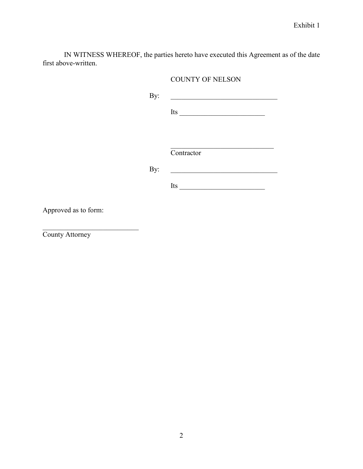IN WITNESS WHEREOF, the parties hereto have executed this Agreement as of the date first above-written.

## COUNTY OF NELSON

By: \_\_\_\_\_\_\_\_\_\_\_\_\_\_\_\_\_\_\_\_\_\_\_\_\_\_\_\_\_\_

Its  $\frac{1}{\sqrt{1-\frac{1}{2}}\left\lceil \frac{1}{2}\right\rceil}$ 

\_\_\_\_\_\_\_\_\_\_\_\_\_\_\_\_\_\_\_\_\_\_\_\_\_\_\_\_\_

**Contractor** 

By: \_\_\_\_\_\_\_\_\_\_\_\_\_\_\_\_\_\_\_\_\_\_\_\_\_\_\_\_\_\_

Its  $\overline{\phantom{a}}$ 

Approved as to form:

 $\overline{\phantom{a}}$ 

County Attorney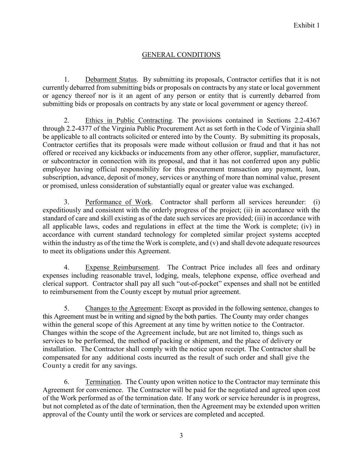## GENERAL CONDITIONS

1. Debarment Status. By submitting its proposals, Contractor certifies that it is not currently debarred from submitting bids or proposals on contracts by any state or local government or agency thereof nor is it an agent of any person or entity that is currently debarred from submitting bids or proposals on contracts by any state or local government or agency thereof.

2. Ethics in Public Contracting. The provisions contained in Sections 2.2-4367 through 2.2-4377 of the Virginia Public Procurement Act as set forth in the Code of Virginia shall be applicable to all contracts solicited or entered into by the County. By submitting its proposals, Contractor certifies that its proposals were made without collusion or fraud and that it has not offered or received any kickbacks or inducements from any other offeror, supplier, manufacturer, or subcontractor in connection with its proposal, and that it has not conferred upon any public employee having official responsibility for this procurement transaction any payment, loan, subscription, advance, deposit of money, services or anything of more than nominal value, present or promised, unless consideration of substantially equal or greater value was exchanged.

3. Performance of Work. Contractor shall perform all services hereunder: (i) expeditiously and consistent with the orderly progress of the project; (ii) in accordance with the standard of care and skill existing as of the date such services are provided; (iii) in accordance with all applicable laws, codes and regulations in effect at the time the Work is complete; (iv) in accordance with current standard technology for completed similar project systems accepted within the industry as of the time the Work is complete, and (v) and shall devote adequate resources to meet its obligations under this Agreement.

4. Expense Reimbursement. The Contract Price includes all fees and ordinary expenses including reasonable travel, lodging, meals, telephone expense, office overhead and clerical support. Contractor shall pay all such "out-of-pocket" expenses and shall not be entitled to reimbursement from the County except by mutual prior agreement.

5. Changes to the Agreement: Except as provided in the following sentence, changes to this Agreement must be in writing and signed by the both parties. The County may order changes within the general scope of this Agreement at any time by written notice to the Contractor. Changes within the scope of the Agreement include, but are not limited to, things such as services to be performed, the method of packing or shipment, and the place of delivery or installation. The Contractor shall comply with the notice upon receipt. The Contractor shall be compensated for any additional costs incurred as the result of such order and shall give the County a credit for any savings.

6. Termination. The County upon written notice to the Contractor may terminate this Agreement for convenience. The Contractor will be paid for the negotiated and agreed upon cost of the Work performed as of the termination date. If any work or service hereunder is in progress, but not completed as of the date of termination, then the Agreement may be extended upon written approval of the County until the work or services are completed and accepted.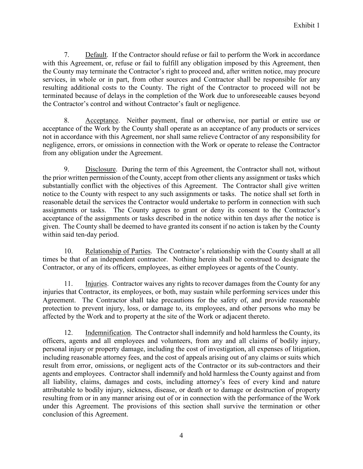7. Default. If the Contractor should refuse or fail to perform the Work in accordance with this Agreement, or, refuse or fail to fulfill any obligation imposed by this Agreement, then the County may terminate the Contractor's right to proceed and, after written notice, may procure services, in whole or in part, from other sources and Contractor shall be responsible for any resulting additional costs to the County. The right of the Contractor to proceed will not be terminated because of delays in the completion of the Work due to unforeseeable causes beyond the Contractor's control and without Contractor's fault or negligence.

8. Acceptance. Neither payment, final or otherwise, nor partial or entire use or acceptance of the Work by the County shall operate as an acceptance of any products or services not in accordance with this Agreement, nor shall same relieve Contractor of any responsibility for negligence, errors, or omissions in connection with the Work or operate to release the Contractor from any obligation under the Agreement.

9. Disclosure. During the term of this Agreement, the Contractor shall not, without the prior written permission of the County, accept from other clients any assignment or tasks which substantially conflict with the objectives of this Agreement. The Contractor shall give written notice to the County with respect to any such assignments or tasks. The notice shall set forth in reasonable detail the services the Contractor would undertake to perform in connection with such assignments or tasks. The County agrees to grant or deny its consent to the Contractor's acceptance of the assignments or tasks described in the notice within ten days after the notice is given. The County shall be deemed to have granted its consent if no action is taken by the County within said ten-day period.

10. Relationship of Parties. The Contractor's relationship with the County shall at all times be that of an independent contractor. Nothing herein shall be construed to designate the Contractor, or any of its officers, employees, as either employees or agents of the County.

11. Injuries. Contractor waives any rights to recover damages from the County for any injuries that Contractor, its employees, or both, may sustain while performing services under this Agreement. The Contractor shall take precautions for the safety of, and provide reasonable protection to prevent injury, loss, or damage to, its employees, and other persons who may be affected by the Work and to property at the site of the Work or adjacent thereto.

12. Indemnification. The Contractor shall indemnify and hold harmless the County, its officers, agents and all employees and volunteers, from any and all claims of bodily injury, personal injury or property damage, including the cost of investigation, all expenses of litigation, including reasonable attorney fees, and the cost of appeals arising out of any claims or suits which result from error, omissions, or negligent acts of the Contractor or its sub-contractors and their agents and employees. Contractor shall indemnify and hold harmless the County against and from all liability, claims, damages and costs, including attorney's fees of every kind and nature attributable to bodily injury, sickness, disease, or death or to damage or destruction of property resulting from or in any manner arising out of or in connection with the performance of the Work under this Agreement. The provisions of this section shall survive the termination or other conclusion of this Agreement.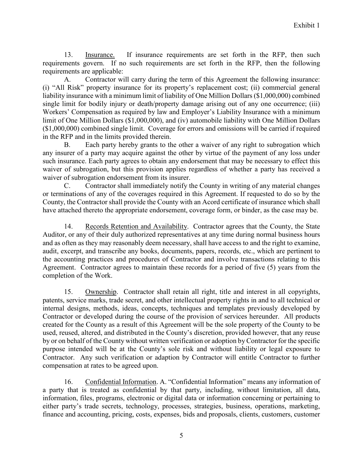13. Insurance. If insurance requirements are set forth in the RFP, then such requirements govern. If no such requirements are set forth in the RFP, then the following requirements are applicable:

A. Contractor will carry during the term of this Agreement the following insurance: (i) "All Risk" property insurance for its property's replacement cost; (ii) commercial general liability insurance with a minimum limit of liability of One Million Dollars (\$1,000,000) combined single limit for bodily injury or death/property damage arising out of any one occurrence; (iii) Workers' Compensation as required by law and Employer's Liability Insurance with a minimum limit of One Million Dollars (\$1,000,000), and (iv) automobile liability with One Million Dollars (\$1,000,000) combined single limit. Coverage for errors and omissions will be carried if required in the RFP and in the limits provided therein.

B. Each party hereby grants to the other a waiver of any right to subrogation which any insurer of a party may acquire against the other by virtue of the payment of any loss under such insurance. Each party agrees to obtain any endorsement that may be necessary to effect this waiver of subrogation, but this provision applies regardless of whether a party has received a waiver of subrogation endorsement from its insurer.

C. Contractor shall immediately notify the County in writing of any material changes or terminations of any of the coverages required in this Agreement. If requested to do so by the County, the Contractor shall provide the County with an Acord certificate of insurance which shall have attached thereto the appropriate endorsement, coverage form, or binder, as the case may be.

14. Records Retention and Availability. Contractor agrees that the County, the State Auditor, or any of their duly authorized representatives at any time during normal business hours and as often as they may reasonably deem necessary, shall have access to and the right to examine, audit, excerpt, and transcribe any books, documents, papers, records, etc., which are pertinent to the accounting practices and procedures of Contractor and involve transactions relating to this Agreement. Contractor agrees to maintain these records for a period of five (5) years from the completion of the Work.

15. Ownership. Contractor shall retain all right, title and interest in all copyrights, patents, service marks, trade secret, and other intellectual property rights in and to all technical or internal designs, methods, ideas, concepts, techniques and templates previously developed by Contractor or developed during the course of the provision of services hereunder. All products created for the County as a result of this Agreement will be the sole property of the County to be used, reused, altered, and distributed in the County's discretion, provided however, that any reuse by or on behalf of the County without written verification or adoption by Contractor for the specific purpose intended will be at the County's sole risk and without liability or legal exposure to Contractor. Any such verification or adaption by Contractor will entitle Contractor to further compensation at rates to be agreed upon.

16. Confidential Information. A. "Confidential Information" means any information of a party that is treated as confidential by that party, including, without limitation, all data, information, files, programs, electronic or digital data or information concerning or pertaining to either party's trade secrets, technology, processes, strategies, business, operations, marketing, finance and accounting, pricing, costs, expenses, bids and proposals, clients, customers, customer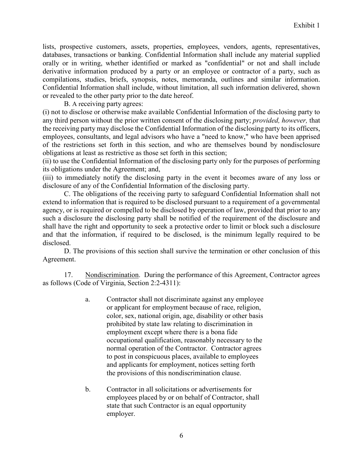lists, prospective customers, assets, properties, employees, vendors, agents, representatives, databases, transactions or banking. Confidential Information shall include any material supplied orally or in writing, whether identified or marked as "confidential" or not and shall include derivative information produced by a party or an employee or contractor of a party, such as compilations, studies, briefs, synopsis, notes, memoranda, outlines and similar information. Confidential Information shall include, without limitation, all such information delivered, shown or revealed to the other party prior to the date hereof.

B. A receiving party agrees:

(i) not to disclose or otherwise make available Confidential Information of the disclosing party to any third person without the prior written consent of the disclosing party; *provided, however,* that the receiving party may disclose the Confidential Information of the disclosing party to its officers, employees, consultants, and legal advisors who have a "need to know," who have been apprised of the restrictions set forth in this section, and who are themselves bound by nondisclosure obligations at least as restrictive as those set forth in this section;

(ii) to use the Confidential Information of the disclosing party only for the purposes of performing its obligations under the Agreement; and,

(iii) to immediately notify the disclosing party in the event it becomes aware of any loss or disclosure of any of the Confidential Information of the disclosing party.

C. The obligations of the receiving party to safeguard Confidential Information shall not extend to information that is required to be disclosed pursuant to a requirement of a governmental agency, or is required or compelled to be disclosed by operation of law, provided that prior to any such a disclosure the disclosing party shall be notified of the requirement of the disclosure and shall have the right and opportunity to seek a protective order to limit or block such a disclosure and that the information, if required to be disclosed, is the minimum legally required to be disclosed.

D. The provisions of this section shall survive the termination or other conclusion of this Agreement.

17. Nondiscrimination. During the performance of this Agreement, Contractor agrees as follows (Code of Virginia, Section 2:2-4311):

- a. Contractor shall not discriminate against any employee or applicant for employment because of race, religion, color, sex, national origin, age, disability or other basis prohibited by state law relating to discrimination in employment except where there is a bona fide occupational qualification, reasonably necessary to the normal operation of the Contractor. Contractor agrees to post in conspicuous places, available to employees and applicants for employment, notices setting forth the provisions of this nondiscrimination clause.
- b. Contractor in all solicitations or advertisements for employees placed by or on behalf of Contractor, shall state that such Contractor is an equal opportunity employer.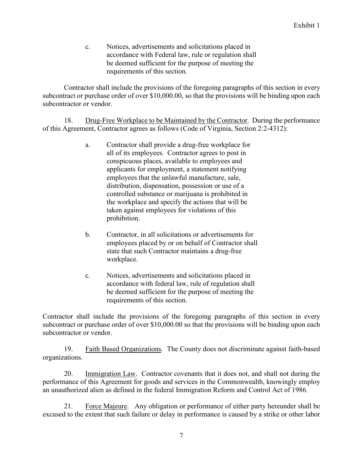c. Notices, advertisements and solicitations placed in accordance with Federal law, rule or regulation shall be deemed sufficient for the purpose of meeting the requirements of this section.

Contractor shall include the provisions of the foregoing paragraphs of this section in every subcontract or purchase order of over \$10,000.00, so that the provisions will be binding upon each subcontractor or vendor.

18. Drug-Free Workplace to be Maintained by the Contractor. During the performance of this Agreement, Contractor agrees as follows (Code of Virginia, Section 2:2-4312):

- a. Contractor shall provide a drug-free workplace for all of its employees. Contractor agrees to post in conspicuous places, available to employees and applicants for employment, a statement notifying employees that the unlawful manufacture, sale, distribution, dispensation, possession or use of a controlled substance or marijuana is prohibited in the workplace and specify the actions that will be taken against employees for violations of this prohibition.
- b. Contractor, in all solicitations or advertisements for employees placed by or on behalf of Contractor shall state that such Contractor maintains a drug-free workplace.
- c. Notices, advertisements and solicitations placed in accordance with federal law, rule of regulation shall be deemed sufficient for the purpose of meeting the requirements of this section.

Contractor shall include the provisions of the foregoing paragraphs of this section in every subcontract or purchase order of over \$10,000.00 so that the provisions will be binding upon each subcontractor or vendor.

19. Faith Based Organizations. The County does not discriminate against faith-based organizations.

20. Immigration Law. Contractor covenants that it does not, and shall not during the performance of this Agreement for goods and services in the Commonwealth, knowingly employ an unauthorized alien as defined in the federal Immigration Reform and Control Act of 1986.

21. Force Majeure. Any obligation or performance of either party hereunder shall be excused to the extent that such failure or delay in performance is caused by a strike or other labor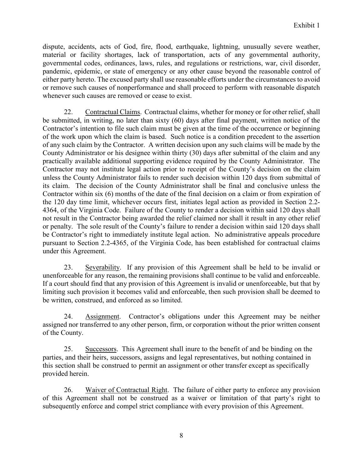dispute, accidents, acts of God, fire, flood, earthquake, lightning, unusually severe weather, material or facility shortages, lack of transportation, acts of any governmental authority, governmental codes, ordinances, laws, rules, and regulations or restrictions, war, civil disorder, pandemic, epidemic, or state of emergency or any other cause beyond the reasonable control of either party hereto. The excused party shall use reasonable efforts under the circumstances to avoid or remove such causes of nonperformance and shall proceed to perform with reasonable dispatch whenever such causes are removed or cease to exist.

22. Contractual Claims. Contractual claims, whether for money or for other relief, shall be submitted, in writing, no later than sixty (60) days after final payment, written notice of the Contractor's intention to file such claim must be given at the time of the occurrence or beginning of the work upon which the claim is based. Such notice is a condition precedent to the assertion of any such claim by the Contractor. A written decision upon any such claims will be made by the County Administrator or his designee within thirty (30) days after submittal of the claim and any practically available additional supporting evidence required by the County Administrator. The Contractor may not institute legal action prior to receipt of the County's decision on the claim unless the County Administrator fails to render such decision within 120 days from submittal of its claim. The decision of the County Administrator shall be final and conclusive unless the Contractor within six (6) months of the date of the final decision on a claim or from expiration of the 120 day time limit, whichever occurs first, initiates legal action as provided in Section 2.2- 4364, of the Virginia Code. Failure of the County to render a decision within said 120 days shall not result in the Contractor being awarded the relief claimed nor shall it result in any other relief or penalty. The sole result of the County's failure to render a decision within said 120 days shall be Contractor's right to immediately institute legal action. No administrative appeals procedure pursuant to Section 2.2-4365, of the Virginia Code, has been established for contractual claims under this Agreement.

23. Severability. If any provision of this Agreement shall be held to be invalid or unenforceable for any reason, the remaining provisions shall continue to be valid and enforceable. If a court should find that any provision of this Agreement is invalid or unenforceable, but that by limiting such provision it becomes valid and enforceable, then such provision shall be deemed to be written, construed, and enforced as so limited.

24. Assignment. Contractor's obligations under this Agreement may be neither assigned nor transferred to any other person, firm, or corporation without the prior written consent of the County.

25. Successors. This Agreement shall inure to the benefit of and be binding on the parties, and their heirs, successors, assigns and legal representatives, but nothing contained in this section shall be construed to permit an assignment or other transfer except as specifically provided herein.

26. Waiver of Contractual Right. The failure of either party to enforce any provision of this Agreement shall not be construed as a waiver or limitation of that party's right to subsequently enforce and compel strict compliance with every provision of this Agreement.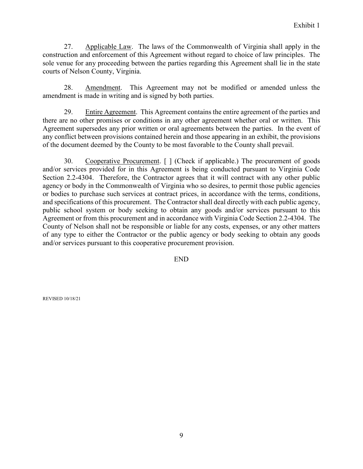27. Applicable Law. The laws of the Commonwealth of Virginia shall apply in the construction and enforcement of this Agreement without regard to choice of law principles. The sole venue for any proceeding between the parties regarding this Agreement shall lie in the state courts of Nelson County, Virginia.

28. Amendment. This Agreement may not be modified or amended unless the amendment is made in writing and is signed by both parties.

29. Entire Agreement. This Agreement contains the entire agreement of the parties and there are no other promises or conditions in any other agreement whether oral or written. This Agreement supersedes any prior written or oral agreements between the parties. In the event of any conflict between provisions contained herein and those appearing in an exhibit, the provisions of the document deemed by the County to be most favorable to the County shall prevail.

30. Cooperative Procurement. [ ] (Check if applicable.) The procurement of goods and/or services provided for in this Agreement is being conducted pursuant to Virginia Code Section 2.2-4304. Therefore, the Contractor agrees that it will contract with any other public agency or body in the Commonwealth of Virginia who so desires, to permit those public agencies or bodies to purchase such services at contract prices, in accordance with the terms, conditions, and specifications of this procurement. The Contractor shall deal directly with each public agency, public school system or body seeking to obtain any goods and/or services pursuant to this Agreement or from this procurement and in accordance with Virginia Code Section 2.2-4304. The County of Nelson shall not be responsible or liable for any costs, expenses, or any other matters of any type to either the Contractor or the public agency or body seeking to obtain any goods and/or services pursuant to this cooperative procurement provision.

END

REVISED 10/18/21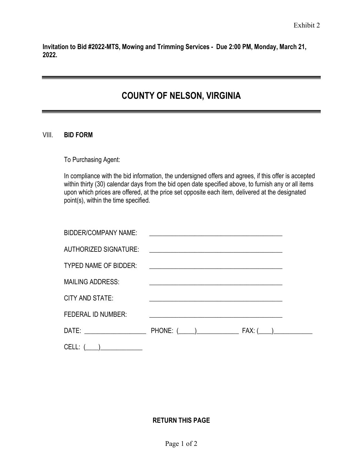**Invitation to Bid #2022-MTS, Mowing and Trimming Services - Due 2:00 PM, Monday, March 21, 2022.**

# **COUNTY OF NELSON, VIRGINIA**

#### VIII. **BID FORM**

To Purchasing Agent:

In compliance with the bid information, the undersigned offers and agrees, if this offer is accepted within thirty (30) calendar days from the bid open date specified above, to furnish any or all items upon which prices are offered, at the price set opposite each item, delivered at the designated point(s), within the time specified.

| <b>BIDDER/COMPANY NAME:</b>    | <u> 1980 - Andrea Andrew Maria (h. 1980).</u>                                                                          |  |
|--------------------------------|------------------------------------------------------------------------------------------------------------------------|--|
| <b>AUTHORIZED SIGNATURE:</b>   |                                                                                                                        |  |
| <b>TYPED NAME OF BIDDER:</b>   |                                                                                                                        |  |
| <b>MAILING ADDRESS:</b>        | <u> 1989 - Johann Stein, marwolaethau a bhann an t-Amhain an t-Amhain an t-Amhain an t-Amhain an t-Amhain an t-A</u>   |  |
| CITY AND STATE:                | <u> 1989 - Johann Stein, fransk politiker (d. 1989)</u>                                                                |  |
| <b>FEDERAL ID NUMBER:</b>      | <u> 1989 - Johann Stoff, deutscher Stoffen und der Stoffen und der Stoffen und der Stoffen und der Stoffen und der</u> |  |
| DATE: ________________________ |                                                                                                                        |  |
| $CELL: (\_\_\_)$               |                                                                                                                        |  |

#### **RETURN THIS PAGE**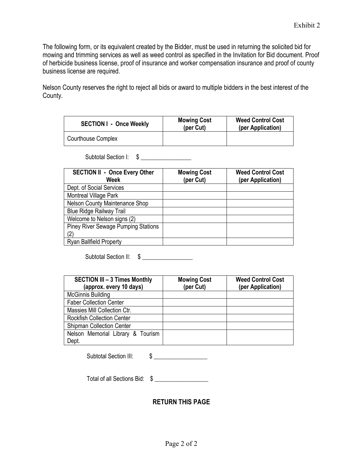The following form, or its equivalent created by the Bidder, must be used in returning the solicited bid for mowing and trimming services as well as weed control as specified in the Invitation for Bid document. Proof of herbicide business license, proof of insurance and worker compensation insurance and proof of county business license are required.

Nelson County reserves the right to reject all bids or award to multiple bidders in the best interest of the County.

| <b>SECTION I - Once Weekly</b> | <b>Mowing Cost</b><br>(per Cut) | <b>Weed Control Cost</b><br>(per Application) |
|--------------------------------|---------------------------------|-----------------------------------------------|
| Courthouse Complex             |                                 |                                               |

Subtotal Section I: \$ \_\_\_\_\_\_\_\_\_\_\_\_\_\_\_\_\_

| <b>SECTION II - Once Every Other</b><br>Week | <b>Mowing Cost</b><br>(per Cut) | <b>Weed Control Cost</b><br>(per Application) |
|----------------------------------------------|---------------------------------|-----------------------------------------------|
| Dept. of Social Services                     |                                 |                                               |
| Montreal Village Park                        |                                 |                                               |
| Nelson County Maintenance Shop               |                                 |                                               |
| <b>Blue Ridge Railway Trail</b>              |                                 |                                               |
| Welcome to Nelson signs (2)                  |                                 |                                               |
| <b>Piney River Sewage Pumping Stations</b>   |                                 |                                               |
| (2)                                          |                                 |                                               |
| <b>Ryan Ballfield Property</b>               |                                 |                                               |

Subtotal Section II: \$ \_\_\_\_\_\_\_\_\_\_\_\_\_\_\_\_\_

| <b>SECTION III - 3 Times Monthly</b><br>(approx. every 10 days) | <b>Mowing Cost</b><br>(per Cut) | <b>Weed Control Cost</b><br>(per Application) |
|-----------------------------------------------------------------|---------------------------------|-----------------------------------------------|
| <b>McGinnis Building</b>                                        |                                 |                                               |
| <b>Faber Collection Center</b>                                  |                                 |                                               |
| Massies Mill Collection Ctr.                                    |                                 |                                               |
| <b>Rockfish Collection Center</b>                               |                                 |                                               |
| <b>Shipman Collection Center</b>                                |                                 |                                               |
| Nelson Memorial Library & Tourism                               |                                 |                                               |
| Dept.                                                           |                                 |                                               |

| <b>Subtotal Section III:</b> |  |
|------------------------------|--|
|------------------------------|--|

Total of all Sections Bid:  $\quad \text{\ssim}$ 

**RETURN THIS PAGE**